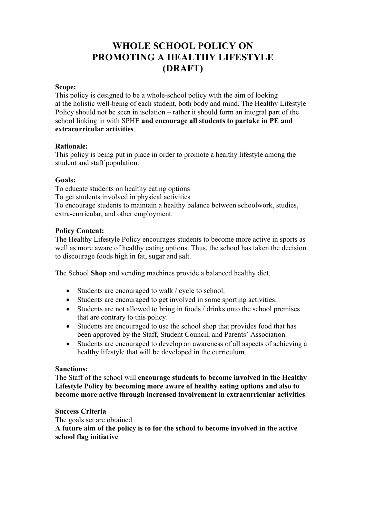# **WHOLE SCHOOL POLICY ON PROMOTING A HEALTHY LIFESTYLE (DRAFT)**

#### **Scope:**

This policy is designed to be a whole-school policy with the aim of looking at the holistic well-being of each student, both body and mind. The Healthy Lifestyle Policy should not be seen in isolation – rather it should form an integral part of the school linking in with SPHE **and encourage all students to partake in PE and extracurricular activities**.

## **Rationale:**

This policy is being put in place in order to promote a healthy lifestyle among the student and staff population.

## **Goals:**

To educate students on healthy eating options To get students involved in physical activities To encourage students to maintain a healthy balance between schoolwork, studies, extra-curricular, and other employment.

## **Policy Content:**

The Healthy Lifestyle Policy encourages students to become more active in sports as well as more aware of healthy eating options. Thus, the school has taken the decision to discourage foods high in fat, sugar and salt.

The School **Shop** and vending machines provide a balanced healthy diet.

- Students are encouraged to walk / cycle to school.
- Students are encouraged to get involved in some sporting activities.
- Students are not allowed to bring in foods / drinks onto the school premises that are contrary to this policy.
- Students are encouraged to use the school shop that provides food that has been approved by the Staff, Student Council, and Parents' Association.
- Students are encouraged to develop an awareness of all aspects of achieving a healthy lifestyle that will be developed in the curriculum.

#### **Sanctions:**

The Staff of the school will **encourage students to become involved in the Healthy Lifestyle Policy by becoming more aware of healthy eating options and also to become more active through increased involvement in extracurricular activities**.

#### **Success Criteria**

The goals set are obtained **A future aim of the policy is to for the school to become involved in the active school flag initiative**